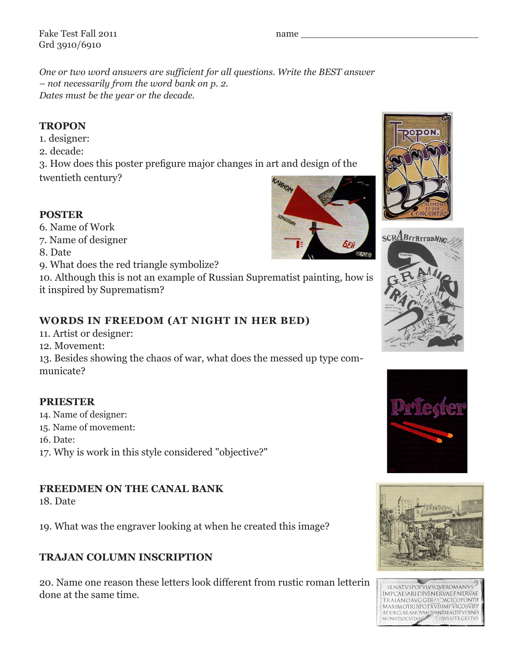Fake Test Fall 2011 Grd 3910/6910

*One or two word answers are sufficient for all questions. Write the BEST answer – not necessarily from the word bank on p. 2. Dates must be the year or the decade.*

## **TROPON**

- 1. designer:
- 2. decade:

3. How does this poster prefigure major changes in art and design of the

twentieth century?

## **POSTER**

- 6. Name of Work
- 7. Name of designer
- 8. Date
- 9. What does the red triangle symbolize?

10. Although this is not an example of Russian Suprematist painting, how is it inspired by Suprematism?

## **WORDS IN FREEDOM (AT NIGHT IN HER BED)**

- 11. Artist or designer:
- 12. Movement:

13. Besides showing the chaos of war, what does the messed up type communicate?

## **PRIESTER**

- 14. Name of designer:
- 15. Name of movement:
- 16. Date:
- 17. Why is work in this style considered "objective?"

## **FREEDMEN ON THE CANAL BANK**

18. Date

19. What was the engraver looking at when he created this image?

## **TRAJAN COLUMN INSCRIPTION**

20. Name one reason these letters look different from rustic roman letterin done at the same time.

# name